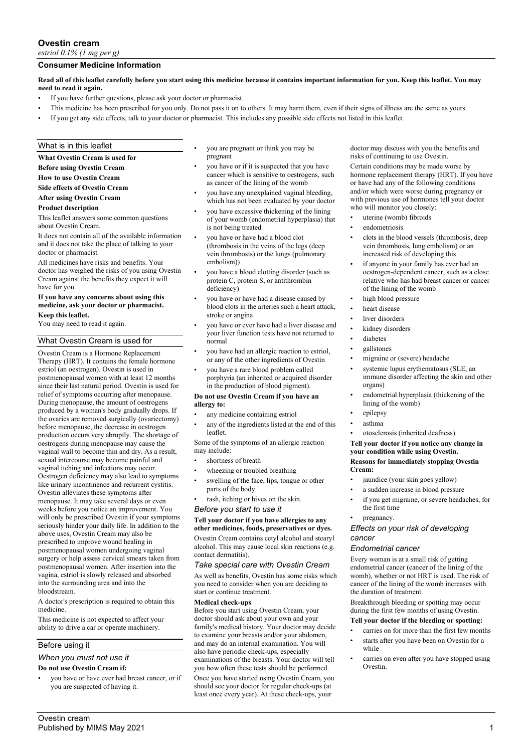# **Ovestin cream**

*estriol 0.1% (1 mg per g)*

# **Consumer Medicine Information**

### **Read all of this leaflet carefully before you start using this medicine because it contains important information for you. Keep this leaflet. You may need to read it again.**

- If you have further questions, please ask your doctor or pharmacist.
- This medicine has been prescribed for you only. Do not pass it on to others. It may harm them, even if their signs of illness are the same as yours.
- If you get any side effects, talk to your doctor or pharmacist. This includes any possible side effects not listed in this leaflet.

### What is in this leaflet

#### **What Ovestin Cream is used for**

**Before using Ovestin Cream**

#### **How to use Ovestin Cream**

**Side effects of Ovestin Cream**

#### **After using Ovestin Cream**

#### **Product description**

This leaflet answers some common questions about Ovestin Cream.

It does not contain all of the available information and it does not take the place of talking to your doctor or pharmacist.

All medicines have risks and benefits. Your doctor has weighed the risks of you using Ovestin Cream against the benefits they expect it will have for you.

#### **If you have any concerns about using this medicine, ask your doctor or pharmacist. Keep this leaflet.**

You may need to read it again.

### What Ovestin Cream is used for

Ovestin Cream is a Hormone Replacement Therapy (HRT). It contains the female hormone estriol (an oestrogen). Ovestin is used in postmenopausal women with at least 12 months since their last natural period. Ovestin is used for relief of symptoms occurring after menopause. During menopause, the amount of oestrogens produced by a woman's body gradually drops. If the ovaries are removed surgically (ovariectomy) before menopause, the decrease in oestrogen production occurs very abruptly. The shortage of oestrogens during menopause may cause the vaginal wall to become thin and dry. As a result, sexual intercourse may become painful and vaginal itching and infections may occur. Oestrogen deficiency may also lead to symptoms like urinary incontinence and recurrent cystitis. Ovestin alleviates these symptoms after menopause. It may take several days or even weeks before you notice an improvement. You will only be prescribed Ovestin if your symptoms seriously hinder your daily life. In addition to the above uses, Ovestin Cream may also be prescribed to improve wound healing in postmenopausal women undergoing vaginal surgery or help assess cervical smears taken from postmenopausal women. After insertion into the vagina, estriol is slowly released and absorbed into the surrounding area and into the bloodstream.

A doctor's prescription is required to obtain this medicine.

This medicine is not expected to affect your ability to drive a car or operate machinery.

### Before using it

# *When you must not use it*

## **Do not use Ovestin Cream if:**

you have or have ever had breast cancer, or if you are suspected of having it.

- you are pregnant or think you may be pregnant
- you have or if it is suspected that you have cancer which is sensitive to oestrogens, such as cancer of the lining of the womb
- you have any unexplained vaginal bleeding, which has not been evaluated by your doctor
- you have excessive thickening of the lining of your womb (endometrial hyperplasia) that is not being treated
- you have or have had a blood clot (thrombosis in the veins of the legs (deep vein thrombosis) or the lungs (pulmonary embolism))
- you have a blood clotting disorder (such as protein C, protein S, or antithrombin deficiency)
- you have or have had a disease caused by blood clots in the arteries such a heart attack, stroke or angina
- you have or ever have had a liver disease and your liver function tests have not returned to normal
- you have had an allergic reaction to estriol, or any of the other ingredients of Ovestin
- you have a rare blood problem called
- porphyria (an inherited or acquired disorder in the production of blood pigment).

#### **Do not use Ovestin Cream if you have an allergy to:**

- any medicine containing estriol
- any of the ingredients listed at the end of this leaflet.

Some of the symptoms of an allergic reaction may include:

- shortness of breath
- wheezing or troubled breathing
- swelling of the face, lips, tongue or other parts of the body
- rash, itching or hives on the skin.

### *Before you start to use it*

### **Tell your doctor if you have allergies to any other medicines, foods, preservatives or dyes.**

Ovestin Cream contains cetyl alcohol and stearyl alcohol. This may cause local skin reactions (e.g. contact dermatitis).

#### *Take special care with Ovestin Cream*

As well as benefits, Ovestin has some risks which you need to consider when you are deciding to start or continue treatment.

#### **Medical check-ups**

Before you start using Ovestin Cream, your doctor should ask about your own and your family's medical history. Your doctor may decide to examine your breasts and/or your abdomen, and may do an internal examination. You will also have periodic check-ups, especially examinations of the breasts. Your doctor will tell you how often these tests should be performed. Once you have started using Ovestin Cream, you should see your doctor for regular check-ups (at least once every year). At these check-ups, your

doctor may discuss with you the benefits and risks of continuing to use Ovestin.

Certain conditions may be made worse by hormone replacement therapy (HRT). If you have or have had any of the following conditions and/or which were worse during pregnancy or with previous use of hormones tell your doctor who will monitor you closely:

- uterine (womb) fibroids
- endometriosis
- clots in the blood vessels (thrombosis, deep vein thrombosis, lung embolism) or an increased risk of developing this
- if anyone in your family has ever had an oestrogen-dependent cancer, such as a close relative who has had breast cancer or cancer of the lining of the womb
- high blood pressure
- heart disease
- liver disorders
- kidney disorders
- diabetes
- gallstones
- migraine or (severe) headache
- systemic lupus erythematosus (SLE, an immune disorder affecting the skin and other organs)
- endometrial hyperplasia (thickening of the lining of the womb)
- epilepsy
- asthma
- otosclerosis (inherited deafness).

#### **Tell your doctor if you notice any change in your condition while using Ovestin. Reasons for immediately stopping Ovestin Cream:**

- jaundice (your skin goes yellow)
- a sudden increase in blood pressure
- if you get migraine, or severe headaches, for the first time
- pregnancy.

### *Effects on your risk of developing cancer*

### *Endometrial cancer*

Every woman is at a small risk of getting endometrial cancer (cancer of the lining of the womb), whether or not HRT is used. The risk of cancer of the lining of the womb increases with the duration of treatment.

Breakthrough bleeding or spotting may occur during the first few months of using Ovestin.

### **Tell your doctor if the bleeding or spotting:**

- carries on for more than the first few months
- starts after you have been on Ovestin for a while
- carries on even after you have stopped using Ovestin.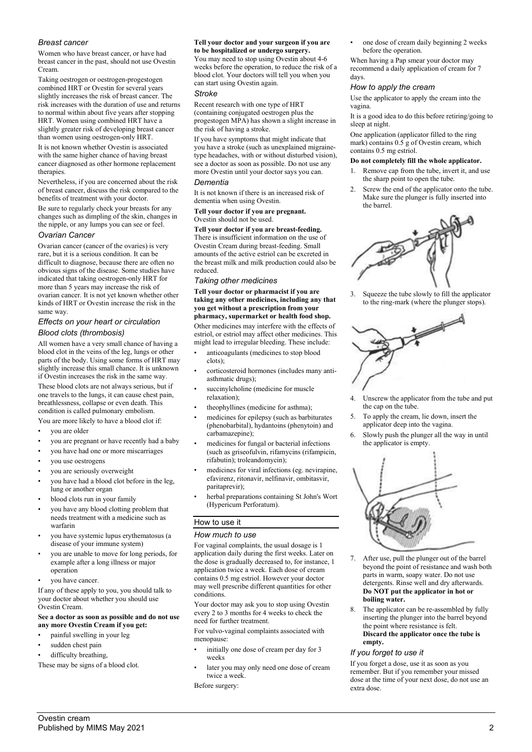### *Breast cancer*

Women who have breast cancer, or have had breast cancer in the past, should not use Ovestin **Cream** 

Taking oestrogen or oestrogen-progestogen combined HRT or Ovestin for several years slightly increases the risk of breast cancer. The risk increases with the duration of use and returns to normal within about five years after stopping HRT. Women using combined HRT have a slightly greater risk of developing breast cancer than women using oestrogen-only HRT.

It is not known whether Ovestin is associated with the same higher chance of having breast cancer diagnosed as other hormone replacement therapies.

Nevertheless, if you are concerned about the risk of breast cancer, discuss the risk compared to the benefits of treatment with your doctor.

Be sure to regularly check your breasts for any changes such as dimpling of the skin, changes in the nipple, or any lumps you can see or feel. *Ovarian Cancer*

Ovarian cancer (cancer of the ovaries) is very rare, but it is a serious condition. It can be difficult to diagnose, because there are often no obvious signs of the disease. Some studies have indicated that taking oestrogen-only HRT for more than 5 years may increase the risk of ovarian cancer. It is not yet known whether other kinds of HRT or Ovestin increase the risk in the same way.

### *Effects on your heart or circulation Blood clots (thrombosis)*

All women have a very small chance of having a blood clot in the veins of the leg, lungs or other parts of the body. Using some forms of HRT may slightly increase this small chance. It is unknown if Ovestin increases the risk in the same way.

These blood clots are not always serious, but if one travels to the lungs, it can cause chest pain, breathlessness, collapse or even death. This condition is called pulmonary embolism.

You are more likely to have a blood clot if:

- you are older
- you are pregnant or have recently had a baby
- you have had one or more miscarriages
- you use oestrogens
- you are seriously overweight
- you have had a blood clot before in the leg, lung or another organ
- blood clots run in your family
- you have any blood clotting problem that needs treatment with a medicine such as warfarin
- you have systemic lupus erythematosus (a disease of your immune system)
- you are unable to move for long periods, for example after a long illness or major operation
- vou have cancer.

If any of these apply to you, you should talk to your doctor about whether you should use Ovestin Cream.

#### **See a doctor as soon as possible and do not use any more Ovestin Cream if you get:**

- painful swelling in your leg
- sudden chest pain
- difficulty breathing,

These may be signs of a blood clot.

#### **Tell your doctor and your surgeon if you are to be hospitalized or undergo surgery.**

You may need to stop using Ovestin about 4-6 weeks before the operation, to reduce the risk of a blood clot. Your doctors will tell you when you can start using Ovestin again.

### *Stroke*

Recent research with one type of HRT (containing conjugated oestrogen plus the progestogen MPA) has shown a slight increase in the risk of having a stroke.

If you have symptoms that might indicate that you have a stroke (such as unexplained migrainetype headaches, with or without disturbed vision), see a doctor as soon as possible. Do not use any more Ovestin until your doctor says you can.

#### *Dementia*

It is not known if there is an increased risk of dementia when using Ovestin.

### **Tell your doctor if you are pregnant.** Ovestin should not be used.

**Tell your doctor if you are breast-feeding.** There is insufficient information on the use of

Ovestin Cream during breast-feeding. Small amounts of the active estriol can be excreted in the breast milk and milk production could also be reduced.

### *Taking other medicines*

**Tell your doctor or pharmacist if you are taking any other medicines, including any that you get without a prescription from your pharmacy, supermarket or health food shop.**

Other medicines may interfere with the effects of estriol, or estriol may affect other medicines. This might lead to irregular bleeding. These include:

- anticoagulants (medicines to stop blood clots);
- corticosteroid hormones (includes many antiasthmatic drugs);
- succinylcholine (medicine for muscle relaxation);
- theophyllines (medicine for asthma);
- medicines for epilepsy (such as barbiturates (phenobarbital), hydantoins (phenytoin) and carbamazepine);
- medicines for fungal or bacterial infections (such as griseofulvin, rifamycins (rifampicin, rifabutin); troleandomycin);
- medicines for viral infections (eg. nevirapine, efavirenz, ritonavir, nelfinavir, ombitasvir, paritaprevir);
- herbal preparations containing St John's Wort (Hypericum Perforatum).

### How to use it

#### *How much to use*

For vaginal complaints, the usual dosage is 1 application daily during the first weeks. Later on the dose is gradually decreased to, for instance, 1 application twice a week. Each dose of cream contains 0.5 mg estriol. However your doctor may well prescribe different quantities for other conditions.

Your doctor may ask you to stop using Ovestin every 2 to 3 months for 4 weeks to check the need for further treatment.

For vulvo-vaginal complaints associated with menopause:

- initially one dose of cream per day for 3 weeks
- later you may only need one dose of cream twice a week.

Before surgery:

• one dose of cream daily beginning 2 weeks before the operation.

When having a Pap smear your doctor may recommend a daily application of cream for 7 days.

### *How to apply the cream*

Use the applicator to apply the cream into the vagina.

It is a good idea to do this before retiring/going to sleep at night.

One application (applicator filled to the ring mark) contains 0.5 g of Ovestin cream, which contains 0.5 mg estriol.

### **Do not completely fill the whole applicator.**

- 1. Remove cap from the tube, invert it, and use the sharp point to open the tube.
- Screw the end of the applicator onto the tube. Make sure the plunger is fully inserted into the barrel.



3. Squeeze the tube slowly to fill the applicator to the ring-mark (where the plunger stops).



- Unscrew the applicator from the tube and put the cap on the tube.
- 5. To apply the cream, lie down, insert the applicator deep into the vagina.
- 6. Slowly push the plunger all the way in until the applicator is empty.



- 7. After use, pull the plunger out of the barrel beyond the point of resistance and wash both parts in warm, soapy water. Do not use detergents. Rinse well and dry afterwards. **Do NOT put the applicator in hot or boiling water.**
- 8. The applicator can be re-assembled by fully inserting the plunger into the barrel beyond the point where resistance is felt. **Discard the applicator once the tube is empty.**

### *If you forget to use it*

If you forget a dose, use it as soon as you remember. But if you remember your missed dose at the time of your next dose, do not use an extra dose.